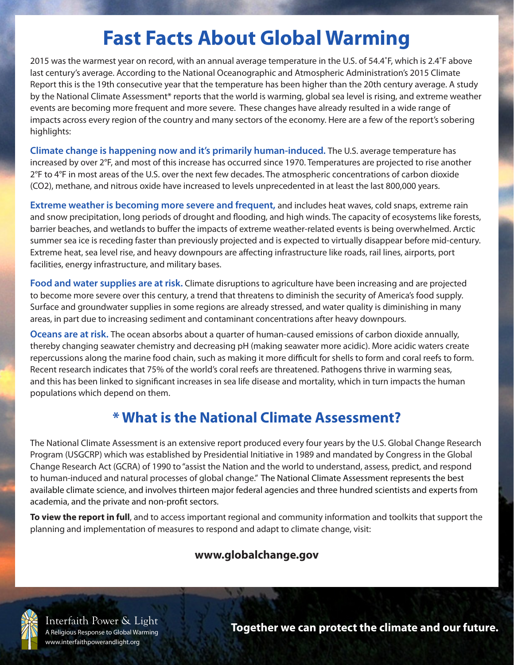# **Fast Facts About Global Warming**

2015 was the warmest year on record, with an annual average temperature in the U.S. of 54.4˚F, which is 2.4˚F above last century's average. According to the National Oceanographic and Atmospheric Administration's 2015 Climate Report this is the 19th consecutive year that the temperature has been higher than the 20th century average. A study by the National Climate Assessment\* reports that the world is warming, global sea level is rising, and extreme weather events are becoming more frequent and more severe. These changes have already resulted in a wide range of impacts across every region of the country and many sectors of the economy. Here are a few of the report's sobering highlights:

**Climate change is happening now and it's primarily human-induced.** The U.S. average temperature has increased by over 2°F, and most of this increase has occurred since 1970. Temperatures are projected to rise another 2°F to 4°F in most areas of the U.S. over the next few decades. The atmospheric concentrations of carbon dioxide (CO2), methane, and nitrous oxide have increased to levels unprecedented in at least the last 800,000 years.

**Extreme weather is becoming more severe and frequent,** and includes heat waves, cold snaps, extreme rain and snow precipitation, long periods of drought and flooding, and high winds. The capacity of ecosystems like forests, barrier beaches, and wetlands to buffer the impacts of extreme weather-related events is being overwhelmed. Arctic summer sea ice is receding faster than previously projected and is expected to virtually disappear before mid-century. Extreme heat, sea level rise, and heavy downpours are affecting infrastructure like roads, rail lines, airports, port facilities, energy infrastructure, and military bases.

**Food and water supplies are at risk.** Climate disruptions to agriculture have been increasing and are projected to become more severe over this century, a trend that threatens to diminish the security of America's food supply. Surface and groundwater supplies in some regions are already stressed, and water quality is diminishing in many areas, in part due to increasing sediment and contaminant concentrations after heavy downpours.

**Oceans are at risk.** The ocean absorbs about a quarter of human-caused emissions of carbon dioxide annually, thereby changing seawater chemistry and decreasing pH (making seawater more acidic). More acidic waters create repercussions along the marine food chain, such as making it more difficult for shells to form and coral reefs to form. Recent research indicates that 75% of the world's coral reefs are threatened. Pathogens thrive in warming seas, and this has been linked to significant increases in sea life disease and mortality, which in turn impacts the human populations which depend on them.

## **\* What is the National Climate Assessment?**

The National Climate Assessment is an extensive report produced every four years by the U.S. Global Change Research Program (USGCRP) which was established by Presidential Initiative in 1989 and mandated by Congress in the Global Change Research Act (GCRA) of 1990 to "assist the Nation and the world to understand, assess, predict, and respond to human-induced and natural processes of global change." The National Climate Assessment represents the best available climate science, and involves thirteen major federal agencies and three hundred scientists and experts from academia, and the private and non-profit sectors.

**To view the report in full**, and to access important regional and community information and toolkits that support the planning and implementation of measures to respond and adapt to climate change, visit:

### **www.globalchange.gov**



Interfaith Power & Light A Religious Response to Global Warming www.interfaithpowerandlight.org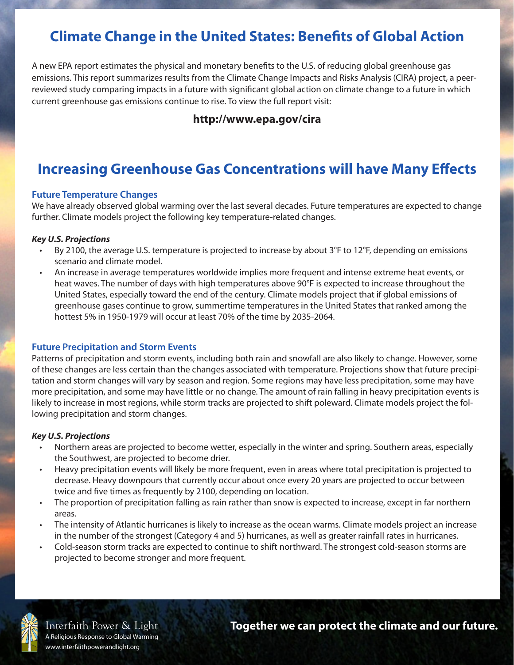## **Climate Change in the United States: Benefits of Global Action**

A new EPA report estimates the physical and monetary benefits to the U.S. of reducing global greenhouse gas emissions. This report summarizes results from the Climate Change Impacts and Risks Analysis (CIRA) project, a peerreviewed study comparing impacts in a future with significant global action on climate change to a future in which current greenhouse gas emissions continue to rise. To view the full report visit:

### **http://www.epa.gov/cira**

# **Increasing Greenhouse Gas Concentrations will have Many Effects**

#### **Future Temperature Changes**

We have already observed global warming over the last several decades. Future temperatures are expected to change further. Climate models project the following key temperature-related changes.

#### *Key U.S. Projections*

- By 2100, the average U.S. temperature is projected to increase by about 3°F to 12°F, depending on emissions scenario and climate model.
- An increase in average temperatures worldwide implies more frequent and intense extreme heat events, or heat waves. The number of days with high temperatures above 90°F is expected to increase throughout the United States, especially toward the end of the century. Climate models project that if global emissions of greenhouse gases continue to grow, summertime temperatures in the United States that ranked among the hottest 5% in 1950-1979 will occur at least 70% of the time by 2035-2064.

#### **Future Precipitation and Storm Events**

Patterns of precipitation and storm events, including both rain and snowfall are also likely to change. However, some of these changes are less certain than the changes associated with temperature. Projections show that future precipitation and storm changes will vary by season and region. Some regions may have less precipitation, some may have more precipitation, and some may have little or no change. The amount of rain falling in heavy precipitation events is likely to increase in most regions, while storm tracks are projected to shift poleward. Climate models project the following precipitation and storm changes.

#### *Key U.S. Projections*

- Northern areas are projected to become wetter, especially in the winter and spring. Southern areas, especially the Southwest, are projected to become drier.
- Heavy precipitation events will likely be more frequent, even in areas where total precipitation is projected to decrease. Heavy downpours that currently occur about once every 20 years are projected to occur between twice and five times as frequently by 2100, depending on location.
- The proportion of precipitation falling as rain rather than snow is expected to increase, except in far northern areas.
- The intensity of Atlantic hurricanes is likely to increase as the ocean warms. Climate models project an increase in the number of the strongest (Category 4 and 5) hurricanes, as well as greater rainfall rates in hurricanes.
- Cold-season storm tracks are expected to continue to shift northward. The strongest cold-season storms are projected to become stronger and more frequent.



Interfaith Power & Light A Religious Response to Global Warming www.interfaithpowerandlight.org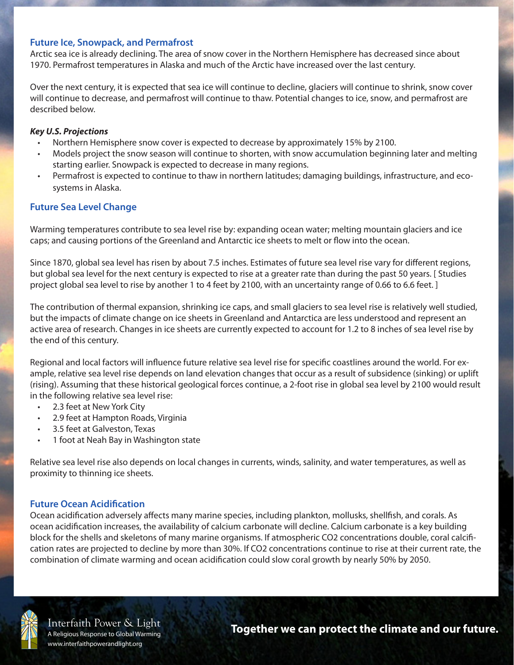#### **Future Ice, Snowpack, and Permafrost**

Arctic sea ice is already declining. The area of snow cover in the Northern Hemisphere has decreased since about 1970. Permafrost temperatures in Alaska and much of the Arctic have increased over the last century.

Over the next century, it is expected that sea ice will continue to decline, glaciers will continue to shrink, snow cover will continue to decrease, and permafrost will continue to thaw. Potential changes to ice, snow, and permafrost are described below.

#### *Key U.S. Projections*

- Northern Hemisphere snow cover is expected to decrease by approximately 15% by 2100.
- Models project the snow season will continue to shorten, with snow accumulation beginning later and melting starting earlier. Snowpack is expected to decrease in many regions.
- Permafrost is expected to continue to thaw in northern latitudes; damaging buildings, infrastructure, and ecosystems in Alaska.

#### **Future Sea Level Change**

Warming temperatures contribute to sea level rise by: expanding ocean water; melting mountain glaciers and ice caps; and causing portions of the Greenland and Antarctic ice sheets to melt or flow into the ocean.

Since 1870, global sea level has risen by about 7.5 inches. Estimates of future sea level rise vary for different regions, but global sea level for the next century is expected to rise at a greater rate than during the past 50 years. [ Studies project global sea level to rise by another 1 to 4 feet by 2100, with an uncertainty range of 0.66 to 6.6 feet. ]

The contribution of thermal expansion, shrinking ice caps, and small glaciers to sea level rise is relatively well studied, but the impacts of climate change on ice sheets in Greenland and Antarctica are less understood and represent an active area of research. Changes in ice sheets are currently expected to account for 1.2 to 8 inches of sea level rise by the end of this century.

Regional and local factors will influence future relative sea level rise for specific coastlines around the world. For example, relative sea level rise depends on land elevation changes that occur as a result of subsidence (sinking) or uplift (rising). Assuming that these historical geological forces continue, a 2-foot rise in global sea level by 2100 would result in the following relative sea level rise:

- 2.3 feet at New York City
- 2.9 feet at Hampton Roads, Virginia
- 3.5 feet at Galveston, Texas
- 1 foot at Neah Bay in Washington state

Relative sea level rise also depends on local changes in currents, winds, salinity, and water temperatures, as well as proximity to thinning ice sheets.

#### **Future Ocean Acidification**

Ocean acidification adversely affects many marine species, including plankton, mollusks, shellfish, and corals. As ocean acidification increases, the availability of calcium carbonate will decline. Calcium carbonate is a key building block for the shells and skeletons of many marine organisms. If atmospheric CO2 concentrations double, coral calcification rates are projected to decline by more than 30%. If CO2 concentrations continue to rise at their current rate, the combination of climate warming and ocean acidification could slow coral growth by nearly 50% by 2050.



Interfaith Power & Light A Religious Response to Global Warming www.interfaithpowerandlight.org